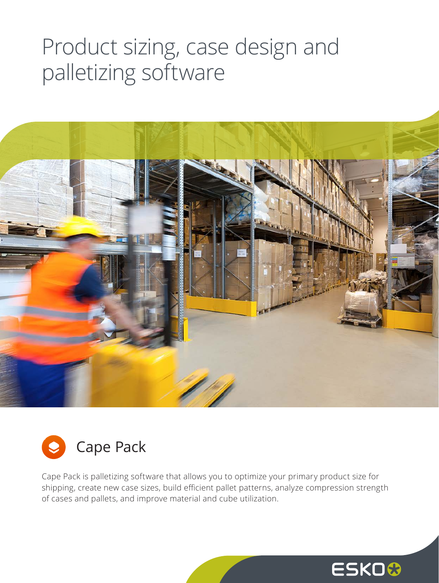## Product sizing, case design and palletizing software





Cape Pack is palletizing software that allows you to optimize your primary product size for shipping, create new case sizes, build efficient pallet patterns, analyze compression strength of cases and pallets, and improve material and cube utilization.